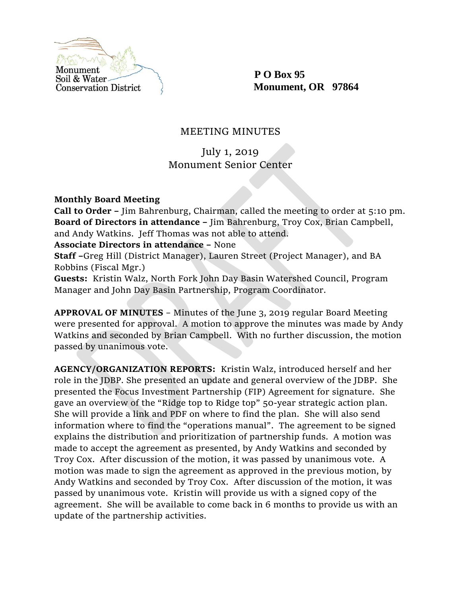

 **P O Box 95 Monument, OR 97864**

## MEETING MINUTES

# July 1, 2019 Monument Senior Center

**Monthly Board Meeting**

**Call to Order –** Jim Bahrenburg, Chairman, called the meeting to order at 5:10 pm. **Board of Directors in attendance –** Jim Bahrenburg, Troy Cox, Brian Campbell, and Andy Watkins. Jeff Thomas was not able to attend.

**Associate Directors in attendance –** None

**Staff –**Greg Hill (District Manager), Lauren Street (Project Manager), and BA Robbins (Fiscal Mgr.)

**Guests:** Kristin Walz, North Fork John Day Basin Watershed Council, Program Manager and John Day Basin Partnership, Program Coordinator.

**APPROVAL OF MINUTES** – Minutes of the June 3, 2019 regular Board Meeting were presented for approval. A motion to approve the minutes was made by Andy Watkins and seconded by Brian Campbell. With no further discussion, the motion passed by unanimous vote.

**AGENCY/ORGANIZATION REPORTS:** Kristin Walz, introduced herself and her role in the JDBP. She presented an update and general overview of the JDBP. She presented the Focus Investment Partnership (FIP) Agreement for signature. She gave an overview of the "Ridge top to Ridge top" 50-year strategic action plan. She will provide a link and PDF on where to find the plan. She will also send information where to find the "operations manual". The agreement to be signed explains the distribution and prioritization of partnership funds. A motion was made to accept the agreement as presented, by Andy Watkins and seconded by Troy Cox. After discussion of the motion, it was passed by unanimous vote. A motion was made to sign the agreement as approved in the previous motion, by Andy Watkins and seconded by Troy Cox. After discussion of the motion, it was passed by unanimous vote. Kristin will provide us with a signed copy of the agreement. She will be available to come back in 6 months to provide us with an update of the partnership activities.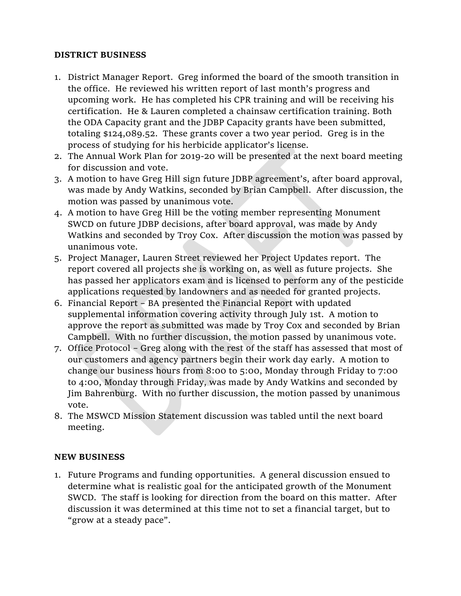#### **DISTRICT BUSINESS**

- 1. District Manager Report. Greg informed the board of the smooth transition in the office. He reviewed his written report of last month's progress and upcoming work. He has completed his CPR training and will be receiving his certification. He & Lauren completed a chainsaw certification training. Both the ODA Capacity grant and the JDBP Capacity grants have been submitted, totaling \$124,089.52. These grants cover a two year period. Greg is in the process of studying for his herbicide applicator's license.
- 2. The Annual Work Plan for 2019-20 will be presented at the next board meeting for discussion and vote.
- 3. A motion to have Greg Hill sign future JDBP agreement's, after board approval, was made by Andy Watkins, seconded by Brian Campbell. After discussion, the motion was passed by unanimous vote.
- 4. A motion to have Greg Hill be the voting member representing Monument SWCD on future JDBP decisions, after board approval, was made by Andy Watkins and seconded by Troy Cox. After discussion the motion was passed by unanimous vote.
- 5. Project Manager, Lauren Street reviewed her Project Updates report. The report covered all projects she is working on, as well as future projects. She has passed her applicators exam and is licensed to perform any of the pesticide applications requested by landowners and as needed for granted projects.
- 6. Financial Report BA presented the Financial Report with updated supplemental information covering activity through July 1st. A motion to approve the report as submitted was made by Troy Cox and seconded by Brian Campbell. With no further discussion, the motion passed by unanimous vote.
- 7. Office Protocol Greg along with the rest of the staff has assessed that most of our customers and agency partners begin their work day early. A motion to change our business hours from 8:00 to 5:00, Monday through Friday to 7:00 to 4:00, Monday through Friday, was made by Andy Watkins and seconded by Jim Bahrenburg. With no further discussion, the motion passed by unanimous vote.
- 8. The MSWCD Mission Statement discussion was tabled until the next board meeting.

### **NEW BUSINESS**

1. Future Programs and funding opportunities. A general discussion ensued to determine what is realistic goal for the anticipated growth of the Monument SWCD. The staff is looking for direction from the board on this matter. After discussion it was determined at this time not to set a financial target, but to "grow at a steady pace".